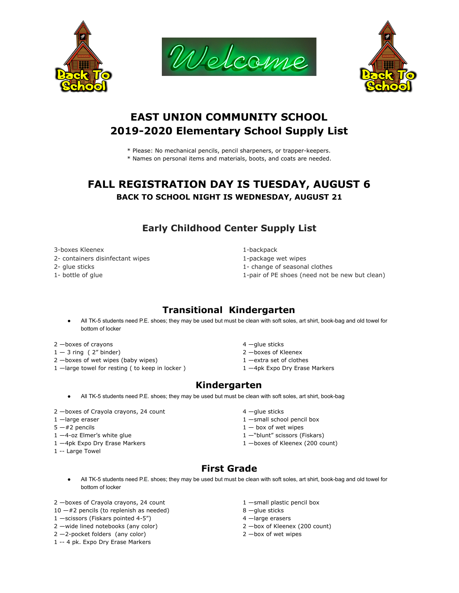





# **EAST UNION COMMUNITY SCHOOL 2019-2020 Elementary School Supply List**

- \* Please: No mechanical pencils, pencil sharpeners, or trapper-keepers.
- \* Names on personal items and materials, boots, and coats are needed.

# **FALL REGISTRATION DAY IS TUESDAY, AUGUST 6 BACK TO SCHOOL NIGHT IS WEDNESDAY, AUGUST 21**

## **Early Childhood Center Supply List**

3-boxes Kleenex 1-backpack

- 2- containers disinfectant wipes 1-package wet wipes
- 
- 

- 
- 2- glue sticks 1- change of seasonal clothes
- 1- bottle of glue 1-pair of PE shoes (need not be new but clean)

## **Transitional Kindergarten**

• All TK-5 students need P.E. shoes; they may be used but must be clean with soft soles, art shirt, book-bag and old towel for bottom of locker

2 —boxes of crayons and the contract of the contract of the contract of the contract of the contract of the contract of the contract of the contract of the contract of the contract of the contract of the contract of the co

- 1  $-$  3 ring ( 2" binder) 2  $-$ boxes of Kleenex
- 2 -boxes of wet wipes (baby wipes) 1 -extra set of clothes
- 1 -large towel for resting ( to keep in locker ) 1 -4pk Expo Dry Erase Markers
- 
- 
- 
- 

#### **Kindergarten**

- All TK-5 students need P.E. shoes; they may be used but must be clean with soft soles, art shirt, book-bag
- 2 -boxes of Crayola crayons, 24 count 4 -glue sticks
- 
- 
- 
- 
- 1 -- Large Towel
- 
- 1 large eraser and the state of the state of the state of the state of the state of the state of the state of the state of the state of the state of the state of the state of the state of the state of the state of the st
- $5 #2$  pencils  $1 box$  of wet wipes
- 1 -4-oz Elmer's white glue 1 November 2 and the 1 November 2 and 1 November 2 and 1 November 2 and 1 No
- 1 -4pk Expo Dry Erase Markers 200 count) 2 1 -boxes of Kleenex (200 count)

# **First Grade**

• All TK-5 students need P.E. shoes; they may be used but must be clean with soft soles, art shirt, book-bag and old towel for bottom of locker

2 -boxes of Crayola crayons, 24 count 1 -small plastic pencil box

- $10 #2$  pencils (to replenish as needed) 8 -glue sticks
- 1 -scissors (Fiskars pointed 4-5") 4 -large erasers
- 
- $2 2$ -pocket folders (any color) 2 —box of wet wipes
- 1 -- 4 pk. Expo Dry Erase Markers
- 
- 
- 
- 2 —wide lined notebooks (any color) 2 —box of Kleenex (200 count)
	-